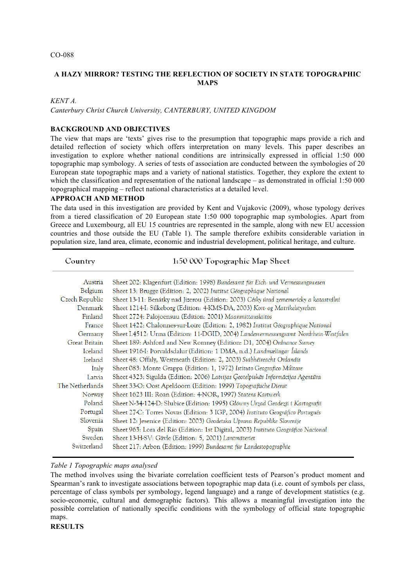## **A HAZY MIRROR? TESTING THE REFLECTION OF SOCIETY IN STATE TOPOGRAPHIC MAPS**

#### *KENT A.*

*Canterbury Christ Church University, CANTERBURY, UNITED KINGDOM*

#### **BACKGROUND AND OBJECTIVES**

The view that maps are 'texts' gives rise to the presumption that topographic maps provide a rich and detailed reflection of society which offers interpretation on many levels. This paper describes an investigation to explore whether national conditions are intrinsically expressed in official 1:50 000 topographic map symbology. A series of tests of association are conducted between the symbologies of 20 European state topographic maps and a variety of national statistics. Together, they explore the extent to which the classification and representation of the national landscape – as demonstrated in official 1:50 000 topographical mapping – reflect national characteristics at a detailed level.

#### **APPROACH AND METHOD**

The data used in this investigation are provided by Kent and Vujakovic (2009), whose typology derives from a tiered classification of 20 European state 1:50 000 topographic map symbologies. Apart from Greece and Luxembourg, all EU 15 countries are represented in the sample, along with new EU accession countries and those outside the EU (Table 1). The sample therefore exhibits considerable variation in population size, land area, climate, economic and industrial development, political heritage, and culture.

| Country              | 1:50 000 Topographic Map Sheet                                                        |
|----------------------|---------------------------------------------------------------------------------------|
| Austria              | Sheet 202: Klagenfurt (Edition: 1998) Bundesamt für Eich- und Vermessungswesen        |
| Belgium              | Sheet 13: Brugge (Edition: 2, 2002) Institut Géographique National                    |
| Czech Republic       | Sheet 13-11: Benátky nad Jizerou (Edition: 2003) Césky úrad zememericky a katastrálni |
| Denmark              | Sheet 1214-I: Silkeborg (Edition: 4-KMS-DA, 2003) Kort- og Matrikelstyrelsen          |
| Finland              | Sheet 2724: Palojoensuu (Edition: 2001) Maanmittauslaitos                             |
| France               | Sheet 1422: Chalonnes-sur-Loire (Edition: 2, 1982) Institut Géographique National     |
| Germany              | Sheet L4512: Unna (Edition: 11-DGID, 2004) Landesvermessungsamt Nordrhein-Westfalen   |
| <b>Great Britain</b> | Sheet 189: Ashford and New Romney (Edition: D1, 2004) Ordnance Survey                 |
| Iceland              | Sheet 1916-I: Porvaldsdalur (Edition: 1 DMA, n.d.) Landmælingar Íslands               |
| Ireland              | Sheet 48: Offaly, Westmeath (Edition: 2, 2003) Suibhéireacht Ordanáis                 |
| Italy                | Sheet 083: Monte Grappa (Edition: 1, 1972) Istituto Geografico Militare               |
| Latvia               | Sheet 4323: Sigulda (Edition: 2006) Latvijas Ģeotelpiskās Informācijas Aģentūra       |
| The Netherlands      | Sheet 33-O: Oost Apeldoorn (Edition: 1999) Topografische Dienst                       |
| Norway               | Sheet 1623 III: Roan (Edition: 4-NOR, 1997) Statens Kartwerk                          |
| Poland               | Sheet N-34-124-D: Słubice (Edition: 1995) Główny Urzad Geodezji i Kartografii         |
| Portugal             | Sheet 27-C: Torres Novas (Edition: 3 IGP, 2004) Instituto Geográfico Português        |
| Slovenia             | Sheet 12: Jesenice (Edition: 2003) Geodetska Uprava Republike Slovenije               |
| Spain                | Sheet 963: Lora del Río (Edition: 1st Digital, 2003) Instituto Geográfico Nacional    |
| Sweden               | Sheet 13-H-SV: Gävle (Edition: 5, 2001) Lantmäteriet                                  |
| Switzerland          | Sheet 217: Arbon (Edition: 1999) Bundesamt für Landestopographie                      |

### *Table 1 Topographic maps analysed*

The method involves using the bivariate correlation coefficient tests of Pearson's product moment and Spearman's rank to investigate associations between topographic map data (i.e. count of symbols per class, percentage of class symbols per symbology, legend language) and a range of development statistics (e.g. socio-economic, cultural and demographic factors). This allows a meaningful investigation into the possible correlation of nationally specific conditions with the symbology of official state topographic maps.